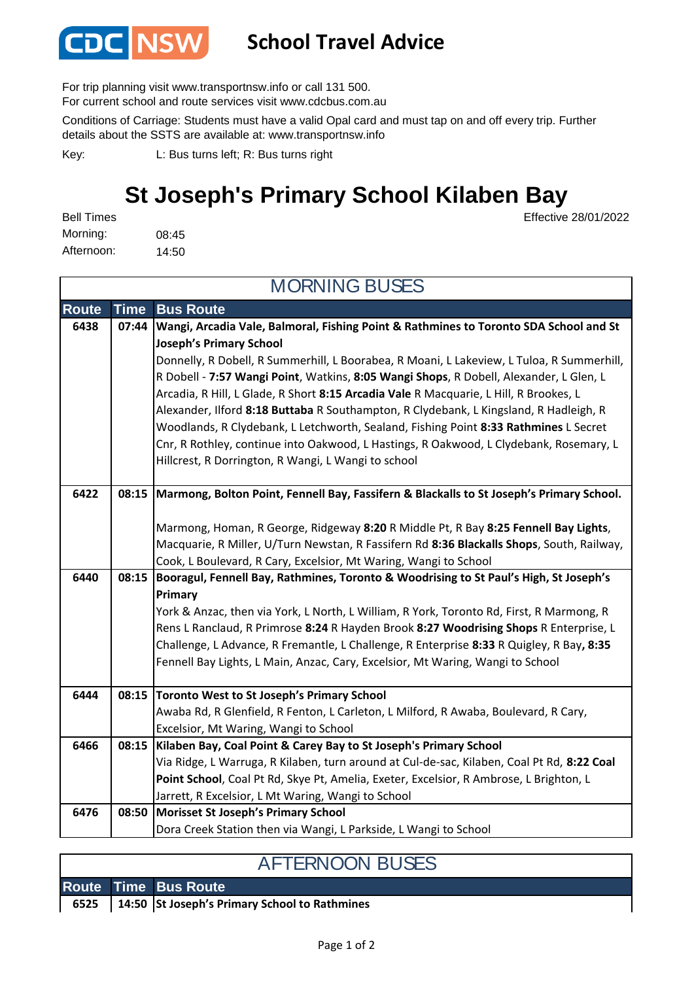

## **School Travel Advice**

For trip planning visit www.transportnsw.info or call 131 500.

For current school and route services visit www.cdcbus.com.au

Conditions of Carriage: Students must have a valid Opal card and must tap on and off every trip. Further details about the SSTS are available at: www.transportnsw.info

L: Bus turns left; R: Bus turns right Key:

# **St Joseph's Primary School Kilaben Bay**

08:45 14:50 Afternoon: Morning: Bell Times

Effective 28/01/2022

| <b>MORNING BUSES</b> |       |                                                                                                                                                                            |  |  |  |
|----------------------|-------|----------------------------------------------------------------------------------------------------------------------------------------------------------------------------|--|--|--|
| <b>Route</b>         | Time  | <b>Bus Route</b>                                                                                                                                                           |  |  |  |
| 6438                 | 07:44 | Wangi, Arcadia Vale, Balmoral, Fishing Point & Rathmines to Toronto SDA School and St                                                                                      |  |  |  |
|                      |       | <b>Joseph's Primary School</b><br>Donnelly, R Dobell, R Summerhill, L Boorabea, R Moani, L Lakeview, L Tuloa, R Summerhill,                                                |  |  |  |
|                      |       | R Dobell - 7:57 Wangi Point, Watkins, 8:05 Wangi Shops, R Dobell, Alexander, L Glen, L                                                                                     |  |  |  |
|                      |       | Arcadia, R Hill, L Glade, R Short 8:15 Arcadia Vale R Macquarie, L Hill, R Brookes, L                                                                                      |  |  |  |
|                      |       | Alexander, Ilford 8:18 Buttaba R Southampton, R Clydebank, L Kingsland, R Hadleigh, R                                                                                      |  |  |  |
|                      |       | Woodlands, R Clydebank, L Letchworth, Sealand, Fishing Point 8:33 Rathmines L Secret                                                                                       |  |  |  |
|                      |       | Cnr, R Rothley, continue into Oakwood, L Hastings, R Oakwood, L Clydebank, Rosemary, L                                                                                     |  |  |  |
|                      |       | Hillcrest, R Dorrington, R Wangi, L Wangi to school                                                                                                                        |  |  |  |
| 6422                 |       | 08:15   Marmong, Bolton Point, Fennell Bay, Fassifern & Blackalls to St Joseph's Primary School.                                                                           |  |  |  |
|                      |       |                                                                                                                                                                            |  |  |  |
|                      |       | Marmong, Homan, R George, Ridgeway 8:20 R Middle Pt, R Bay 8:25 Fennell Bay Lights,                                                                                        |  |  |  |
|                      |       | Macquarie, R Miller, U/Turn Newstan, R Fassifern Rd 8:36 Blackalls Shops, South, Railway,                                                                                  |  |  |  |
|                      |       | Cook, L Boulevard, R Cary, Excelsior, Mt Waring, Wangi to School                                                                                                           |  |  |  |
| 6440                 | 08:15 | Booragul, Fennell Bay, Rathmines, Toronto & Woodrising to St Paul's High, St Joseph's                                                                                      |  |  |  |
|                      |       | Primary                                                                                                                                                                    |  |  |  |
|                      |       | York & Anzac, then via York, L North, L William, R York, Toronto Rd, First, R Marmong, R                                                                                   |  |  |  |
|                      |       | Rens L Ranclaud, R Primrose 8:24 R Hayden Brook 8:27 Woodrising Shops R Enterprise, L                                                                                      |  |  |  |
|                      |       | Challenge, L Advance, R Fremantle, L Challenge, R Enterprise 8:33 R Quigley, R Bay, 8:35<br>Fennell Bay Lights, L Main, Anzac, Cary, Excelsior, Mt Waring, Wangi to School |  |  |  |
|                      |       |                                                                                                                                                                            |  |  |  |
| 6444                 |       | 08:15 Toronto West to St Joseph's Primary School                                                                                                                           |  |  |  |
|                      |       | Awaba Rd, R Glenfield, R Fenton, L Carleton, L Milford, R Awaba, Boulevard, R Cary,                                                                                        |  |  |  |
|                      |       | Excelsior, Mt Waring, Wangi to School                                                                                                                                      |  |  |  |
| 6466                 | 08:15 | Kilaben Bay, Coal Point & Carey Bay to St Joseph's Primary School                                                                                                          |  |  |  |
|                      |       | Via Ridge, L Warruga, R Kilaben, turn around at Cul-de-sac, Kilaben, Coal Pt Rd, 8:22 Coal                                                                                 |  |  |  |
|                      |       | Point School, Coal Pt Rd, Skye Pt, Amelia, Exeter, Excelsior, R Ambrose, L Brighton, L                                                                                     |  |  |  |
|                      |       | Jarrett, R Excelsior, L Mt Waring, Wangi to School                                                                                                                         |  |  |  |
| 6476                 | 08:50 | Morisset St Joseph's Primary School                                                                                                                                        |  |  |  |
|                      |       | Dora Creek Station then via Wangi, L Parkside, L Wangi to School                                                                                                           |  |  |  |

### AFTERNOON BUSES

|  | <b>Route Time Bus Route</b>                            |
|--|--------------------------------------------------------|
|  | 6525   14:50   St Joseph's Primary School to Rathmines |